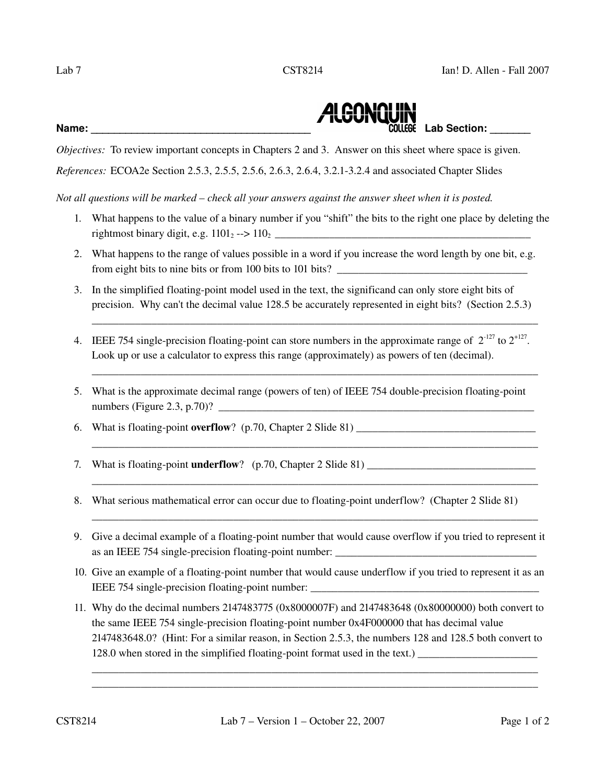

*Objectives:* To review important concepts in Chapters 2 and 3. Answer on this sheet where space is given.

*References:* ECOA2e Section 2.5.3, 2.5.5, 2.5.6, 2.6.3, 2.6.4, 3.2.13.2.4 and associated Chapter Slides

*Not all questions will be marked – check all your answers against the answer sheet when it is posted.*

- 1. What happens to the value of a binary number if you "shift" the bits to the right one place by deleting the rightmost binary digit, e.g. 1101<sup>2</sup> > 1102 \_\_\_\_\_\_\_\_\_\_\_\_\_\_\_\_\_\_\_\_\_\_\_\_\_\_\_\_\_\_\_\_\_\_\_\_\_\_\_\_\_\_\_\_\_\_\_
- 2. What happens to the range of values possible in a word if you increase the word length by one bit, e.g. from eight bits to nine bits or from 100 bits to 101 bits?
- 3. In the simplified floating-point model used in the text, the significand can only store eight bits of precision. Why can't the decimal value 128.5 be accurately represented in eight bits? (Section 2.5.3)

\_\_\_\_\_\_\_\_\_\_\_\_\_\_\_\_\_\_\_\_\_\_\_\_\_\_\_\_\_\_\_\_\_\_\_\_\_\_\_\_\_\_\_\_\_\_\_\_\_\_\_\_\_\_\_\_\_\_\_\_\_\_\_\_\_\_\_\_\_\_\_\_\_\_\_\_\_\_\_\_\_\_

\_\_\_\_\_\_\_\_\_\_\_\_\_\_\_\_\_\_\_\_\_\_\_\_\_\_\_\_\_\_\_\_\_\_\_\_\_\_\_\_\_\_\_\_\_\_\_\_\_\_\_\_\_\_\_\_\_\_\_\_\_\_\_\_\_\_\_\_\_\_\_\_\_\_\_\_\_\_\_\_\_\_

\_\_\_\_\_\_\_\_\_\_\_\_\_\_\_\_\_\_\_\_\_\_\_\_\_\_\_\_\_\_\_\_\_\_\_\_\_\_\_\_\_\_\_\_\_\_\_\_\_\_\_\_\_\_\_\_\_\_\_\_\_\_\_\_\_\_\_\_\_\_\_\_\_\_\_\_\_\_\_\_\_\_

\_\_\_\_\_\_\_\_\_\_\_\_\_\_\_\_\_\_\_\_\_\_\_\_\_\_\_\_\_\_\_\_\_\_\_\_\_\_\_\_\_\_\_\_\_\_\_\_\_\_\_\_\_\_\_\_\_\_\_\_\_\_\_\_\_\_\_\_\_\_\_\_\_\_\_\_\_\_\_\_\_\_

\_\_\_\_\_\_\_\_\_\_\_\_\_\_\_\_\_\_\_\_\_\_\_\_\_\_\_\_\_\_\_\_\_\_\_\_\_\_\_\_\_\_\_\_\_\_\_\_\_\_\_\_\_\_\_\_\_\_\_\_\_\_\_\_\_\_\_\_\_\_\_\_\_\_\_\_\_\_\_\_\_\_

- 4. IEEE 754 single-precision floating-point can store numbers in the approximate range of  $2^{-127}$  to  $2^{+127}$ . Look up or use a calculator to express this range (approximately) as powers of ten (decimal).
- 5. What is the approximate decimal range (powers of ten) of IEEE 754 double-precision floating-point numbers (Figure 2.3, p.70)? \_\_\_\_\_\_\_\_\_\_\_\_\_\_\_\_\_\_\_\_\_\_\_\_\_\_\_\_\_\_\_\_\_\_\_\_\_\_\_\_\_\_\_\_\_\_\_\_\_\_\_\_\_\_\_\_\_\_
- 6. What is floating-point overflow?  $(p.70, Chapter 2 S$ lide 81)  $\angle$
- 7. What is floating-point **underflow**?  $(p.70, Chapter 2 S)$  lide 81)
- 8. What serious mathematical error can occur due to floating-point underflow? (Chapter 2 Slide 81)
- 9. Give a decimal example of a floating-point number that would cause overflow if you tried to represent it as an IEEE 754 single-precision floating-point number: \_\_\_\_\_\_\_\_\_\_\_\_\_\_\_\_\_\_\_\_\_\_\_\_\_
- 10. Give an example of a floating-point number that would cause underflow if you tried to represent it as an IEEE 754 single-precision floating-point number: \_\_\_\_\_\_\_\_\_\_\_\_\_\_\_\_\_\_\_\_\_\_\_\_\_\_\_\_\_\_\_\_
- 11. Why do the decimal numbers 2147483775 (0x8000007F) and 2147483648 (0x80000000) both convert to the same IEEE 754 single-precision floating-point number  $0x4F000000$  that has decimal value 2147483648.0? (Hint: For a similar reason, in Section 2.5.3, the numbers 128 and 128.5 both convert to  $128.0$  when stored in the simplified floating-point format used in the text.)

\_\_\_\_\_\_\_\_\_\_\_\_\_\_\_\_\_\_\_\_\_\_\_\_\_\_\_\_\_\_\_\_\_\_\_\_\_\_\_\_\_\_\_\_\_\_\_\_\_\_\_\_\_\_\_\_\_\_\_\_\_\_\_\_\_\_\_\_\_\_\_\_\_\_\_\_\_\_\_\_\_\_ \_\_\_\_\_\_\_\_\_\_\_\_\_\_\_\_\_\_\_\_\_\_\_\_\_\_\_\_\_\_\_\_\_\_\_\_\_\_\_\_\_\_\_\_\_\_\_\_\_\_\_\_\_\_\_\_\_\_\_\_\_\_\_\_\_\_\_\_\_\_\_\_\_\_\_\_\_\_\_\_\_\_